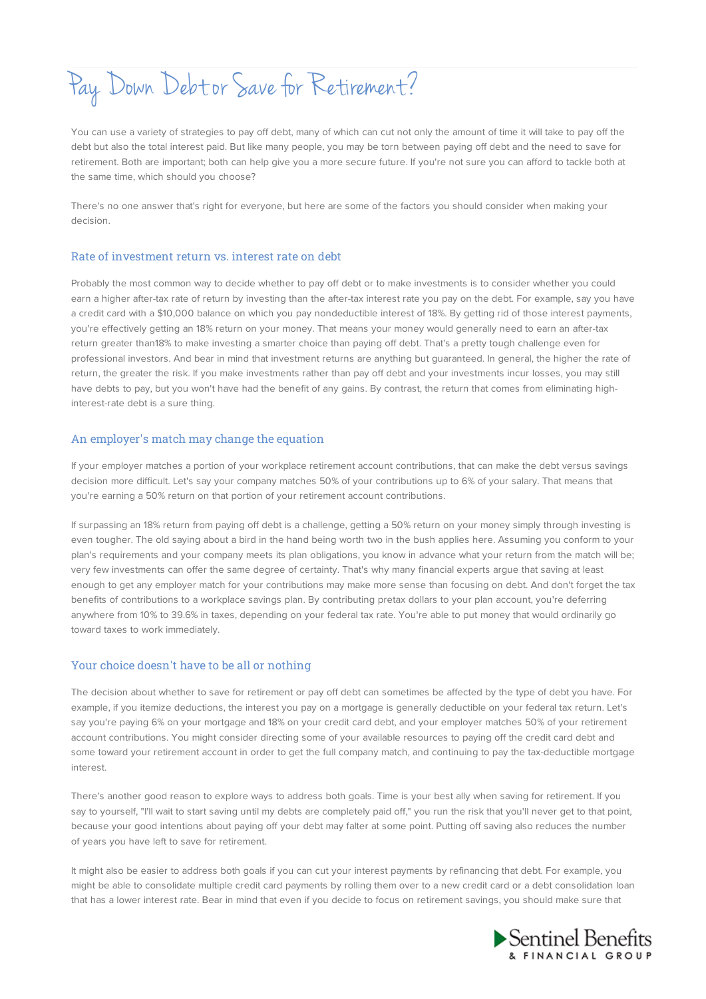Pay Down Debt or Save for Retirement?

You can use a variety of strategies to pay off debt, many of which can cut not only the amount of time it will take to pay off the debt but also the total interest paid. But like many people, you may be torn between paying off debt and the need to save for retirement. Both are important; both can help give you a more secure future. If you're not sure you can afford to tackle both at the same time, which should you choose?

There's no one answer that's right for everyone, but here are some of the factors you should consider when making your decision.

## Rate of investment return vs. interest rate on debt

Probably the most common way to decide whether to pay off debt or to make investments is to consider whether you could earn a higher after-tax rate of return by investing than the after-tax interest rate you pay on the debt. For example, say you have a credit card with a \$10,000 balance on which you pay nondeductible interest of 18%. By getting rid of those interest payments, you're effectively getting an 18% return on your money. That means your money would generally need to earn an after-tax return greater than18% to make investing a smarter choice than paying off debt. That's a pretty tough challenge even for professional investors. And bear in mind that investment returns are anything but guaranteed. In general, the higher the rate of return, the greater the risk. If you make investments rather than pay off debt and your investments incur losses, you may still have debts to pay, but you won't have had the benefit of any gains. By contrast, the return that comes from eliminating highinterest-rate debt is a sure thing.

## An employer's match may change the equation

If your employer matches a portion of your workplace retirement account contributions, that can make the debt versus savings decision more difficult. Let's say your company matches 50% of your contributions up to 6% of your salary. That means that you're earning a 50% return on that portion of your retirement account contributions.

If surpassing an 18% return from paying off debt is a challenge, getting a 50% return on your money simply through investing is even tougher. The old saying about a bird in the hand being worth two in the bush applies here. Assuming you conform to your plan's requirements and your company meets its plan obligations, you know in advance what your return from the match will be; very few investments can offer the same degree of certainty. That's why many financial experts argue that saving at least enough to get any employer match for your contributions may make more sense than focusing on debt. And don't forget the tax benefits of contributions to a workplace savings plan. By contributing pretax dollars to your plan account, you're deferring anywhere from 10% to 39.6% in taxes, depending on your federal tax rate. You're able to put money that would ordinarily go toward taxes to work immediately.

## Your choice doesn't have to be all or nothing

The decision about whether to save for retirement or pay off debt can sometimes be affected by the type of debt you have. For example, if you itemize deductions, the interest you pay on a mortgage is generally deductible on your federal tax return. Let's say you're paying 6% on your mortgage and 18% on your credit card debt, and your employer matches 50% of your retirement account contributions. You might consider directing some of your available resources to paying off the credit card debt and some toward your retirement account in order to get the full company match, and continuing to pay the tax-deductible mortgage interest.

There's another good reason to explore ways to address both goals. Time is your best ally when saving for retirement. If you say to yourself, "I'll wait to start saving until my debts are completely paid off," you run the risk that you'll never get to that point, because your good intentions about paying off your debt may falter at some point. Putting off saving also reduces the number of years you have left to save for retirement.

It might also be easier to address both goals if you can cut your interest payments by refinancing that debt. For example, you might be able to consolidate multiple credit card payments by rolling them over to a new credit card or a debt consolidation loan that has a lower interest rate. Bear in mind that even if you decide to focus on retirement savings, you should make sure that